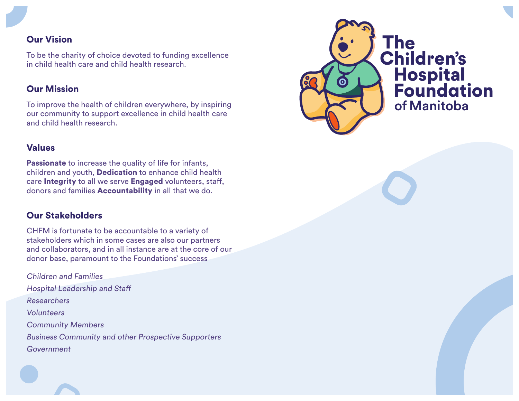## Our Vision

To be the charity of choice devoted to funding excellence in child health care and child health research.

#### Our Mission

To improve the health of children everywhere, by inspiring our community to support excellence in child health care and child health research.

#### Values

Passionate to increase the quality of life for infants, children and youth, Dedication to enhance child health care Integrity to all we serve Engaged volunteers, staff, donors and families Accountability in all that we do.

## Our Stakeholders

CHFM is fortunate to be accountable to a variety of stakeholders which in some cases are also our partners and collaborators, and in all instance are at the core of our donor base, paramount to the Foundations' success

Children and Families Hospital Leadership and Staff Researchers Volunteers Community Members Business Community and other Prospective Supporters Government